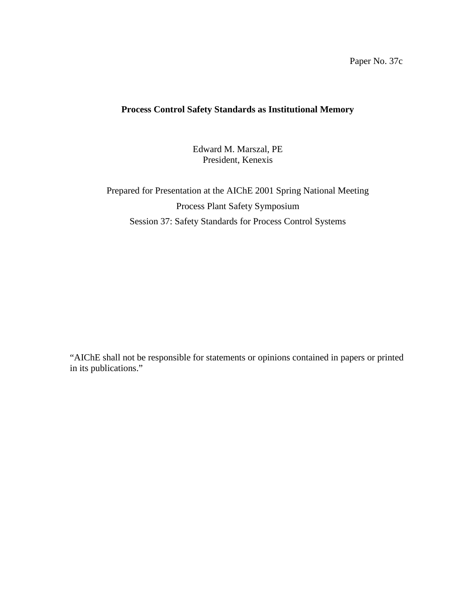Paper No. 37c

## **Process Control Safety Standards as Institutional Memory**

Edward M. Marszal, PE President, Kenexis

Prepared for Presentation at the AIChE 2001 Spring National Meeting Process Plant Safety Symposium Session 37: Safety Standards for Process Control Systems

"AIChE shall not be responsible for statements or opinions contained in papers or printed in its publications."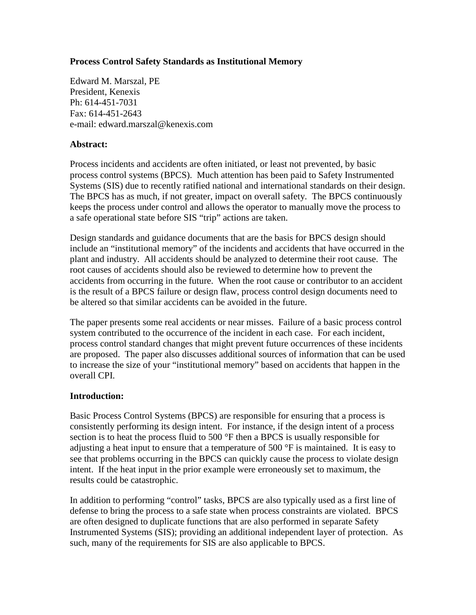## **Process Control Safety Standards as Institutional Memory**

Edward M. Marszal, PE President, Kenexis Ph: 614-451-7031 Fax: 614-451-2643 e-mail: edward.marszal@kenexis.com

## **Abstract:**

Process incidents and accidents are often initiated, or least not prevented, by basic process control systems (BPCS). Much attention has been paid to Safety Instrumented Systems (SIS) due to recently ratified national and international standards on their design. The BPCS has as much, if not greater, impact on overall safety. The BPCS continuously keeps the process under control and allows the operator to manually move the process to a safe operational state before SIS "trip" actions are taken.

Design standards and guidance documents that are the basis for BPCS design should include an "institutional memory" of the incidents and accidents that have occurred in the plant and industry. All accidents should be analyzed to determine their root cause. The root causes of accidents should also be reviewed to determine how to prevent the accidents from occurring in the future. When the root cause or contributor to an accident is the result of a BPCS failure or design flaw, process control design documents need to be altered so that similar accidents can be avoided in the future.

The paper presents some real accidents or near misses. Failure of a basic process control system contributed to the occurrence of the incident in each case. For each incident, process control standard changes that might prevent future occurrences of these incidents are proposed. The paper also discusses additional sources of information that can be used to increase the size of your "institutional memory" based on accidents that happen in the overall CPI.

#### **Introduction:**

Basic Process Control Systems (BPCS) are responsible for ensuring that a process is consistently performing its design intent. For instance, if the design intent of a process section is to heat the process fluid to  $500^{\circ}$ F then a BPCS is usually responsible for adjusting a heat input to ensure that a temperature of 500 °F is maintained. It is easy to see that problems occurring in the BPCS can quickly cause the process to violate design intent. If the heat input in the prior example were erroneously set to maximum, the results could be catastrophic.

In addition to performing "control" tasks, BPCS are also typically used as a first line of defense to bring the process to a safe state when process constraints are violated. BPCS are often designed to duplicate functions that are also performed in separate Safety Instrumented Systems (SIS); providing an additional independent layer of protection. As such, many of the requirements for SIS are also applicable to BPCS.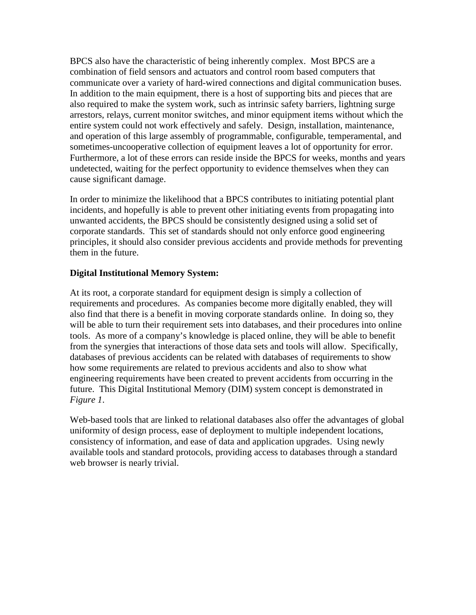BPCS also have the characteristic of being inherently complex. Most BPCS are a combination of field sensors and actuators and control room based computers that communicate over a variety of hard-wired connections and digital communication buses. In addition to the main equipment, there is a host of supporting bits and pieces that are also required to make the system work, such as intrinsic safety barriers, lightning surge arrestors, relays, current monitor switches, and minor equipment items without which the entire system could not work effectively and safely. Design, installation, maintenance, and operation of this large assembly of programmable, configurable, temperamental, and sometimes-uncooperative collection of equipment leaves a lot of opportunity for error. Furthermore, a lot of these errors can reside inside the BPCS for weeks, months and years undetected, waiting for the perfect opportunity to evidence themselves when they can cause significant damage.

In order to minimize the likelihood that a BPCS contributes to initiating potential plant incidents, and hopefully is able to prevent other initiating events from propagating into unwanted accidents, the BPCS should be consistently designed using a solid set of corporate standards. This set of standards should not only enforce good engineering principles, it should also consider previous accidents and provide methods for preventing them in the future.

## **Digital Institutional Memory System:**

At its root, a corporate standard for equipment design is simply a collection of requirements and procedures. As companies become more digitally enabled, they will also find that there is a benefit in moving corporate standards online. In doing so, they will be able to turn their requirement sets into databases, and their procedures into online tools. As more of a company's knowledge is placed online, they will be able to benefit from the synergies that interactions of those data sets and tools will allow. Specifically, databases of previous accidents can be related with databases of requirements to show how some requirements are related to previous accidents and also to show what engineering requirements have been created to prevent accidents from occurring in the future. This Digital Institutional Memory (DIM) system concept is demonstrated in *Figure 1*.

Web-based tools that are linked to relational databases also offer the advantages of global uniformity of design process, ease of deployment to multiple independent locations, consistency of information, and ease of data and application upgrades. Using newly available tools and standard protocols, providing access to databases through a standard web browser is nearly trivial.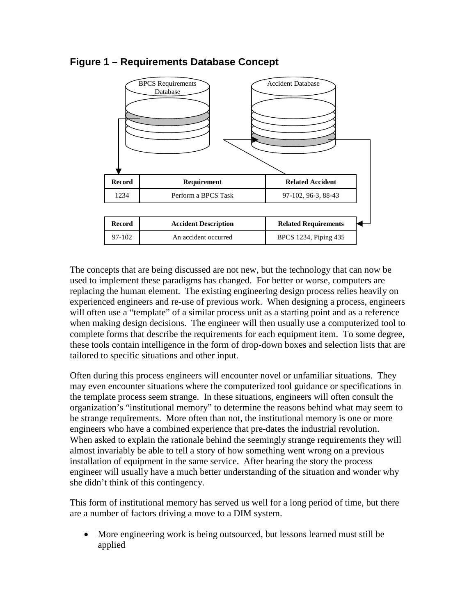

# **Figure 1 – Requirements Database Concept**

The concepts that are being discussed are not new, but the technology that can now be used to implement these paradigms has changed. For better or worse, computers are replacing the human element. The existing engineering design process relies heavily on experienced engineers and re-use of previous work. When designing a process, engineers will often use a "template" of a similar process unit as a starting point and as a reference when making design decisions. The engineer will then usually use a computerized tool to complete forms that describe the requirements for each equipment item. To some degree, these tools contain intelligence in the form of drop-down boxes and selection lists that are tailored to specific situations and other input.

Often during this process engineers will encounter novel or unfamiliar situations. They may even encounter situations where the computerized tool guidance or specifications in the template process seem strange. In these situations, engineers will often consult the organization's "institutional memory" to determine the reasons behind what may seem to be strange requirements. More often than not, the institutional memory is one or more engineers who have a combined experience that pre-dates the industrial revolution. When asked to explain the rationale behind the seemingly strange requirements they will almost invariably be able to tell a story of how something went wrong on a previous installation of equipment in the same service. After hearing the story the process engineer will usually have a much better understanding of the situation and wonder why she didn't think of this contingency.

This form of institutional memory has served us well for a long period of time, but there are a number of factors driving a move to a DIM system.

• More engineering work is being outsourced, but lessons learned must still be applied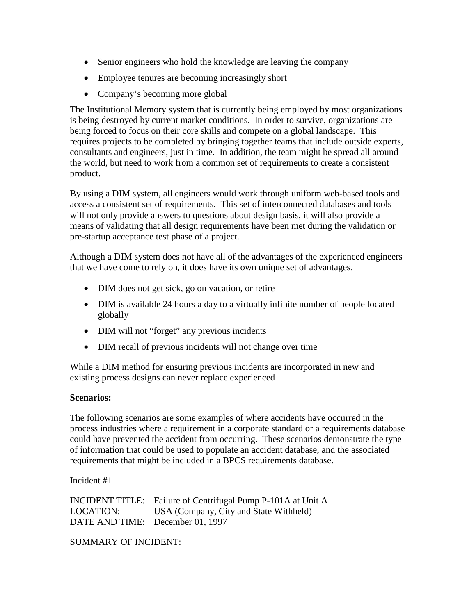- Senior engineers who hold the knowledge are leaving the company
- Employee tenures are becoming increasingly short
- Company's becoming more global

The Institutional Memory system that is currently being employed by most organizations is being destroyed by current market conditions. In order to survive, organizations are being forced to focus on their core skills and compete on a global landscape. This requires projects to be completed by bringing together teams that include outside experts, consultants and engineers, just in time. In addition, the team might be spread all around the world, but need to work from a common set of requirements to create a consistent product.

By using a DIM system, all engineers would work through uniform web-based tools and access a consistent set of requirements. This set of interconnected databases and tools will not only provide answers to questions about design basis, it will also provide a means of validating that all design requirements have been met during the validation or pre-startup acceptance test phase of a project.

Although a DIM system does not have all of the advantages of the experienced engineers that we have come to rely on, it does have its own unique set of advantages.

- DIM does not get sick, go on vacation, or retire
- DIM is available 24 hours a day to a virtually infinite number of people located globally
- DIM will not "forget" any previous incidents
- DIM recall of previous incidents will not change over time

While a DIM method for ensuring previous incidents are incorporated in new and existing process designs can never replace experienced

## **Scenarios:**

The following scenarios are some examples of where accidents have occurred in the process industries where a requirement in a corporate standard or a requirements database could have prevented the accident from occurring. These scenarios demonstrate the type of information that could be used to populate an accident database, and the associated requirements that might be included in a BPCS requirements database.

#### Incident #1

INCIDENT TITLE: Failure of Centrifugal Pump P-101A at Unit A LOCATION: USA (Company, City and State Withheld) DATE AND TIME: December 01, 1997

SUMMARY OF INCIDENT: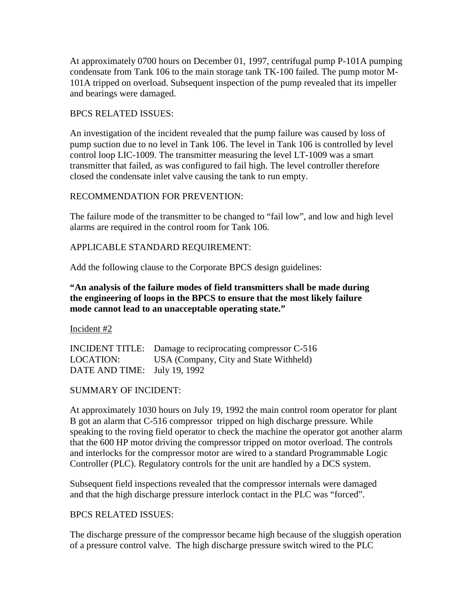At approximately 0700 hours on December 01, 1997, centrifugal pump P-101A pumping condensate from Tank 106 to the main storage tank TK-100 failed. The pump motor M-101A tripped on overload. Subsequent inspection of the pump revealed that its impeller and bearings were damaged.

#### BPCS RELATED ISSUES:

An investigation of the incident revealed that the pump failure was caused by loss of pump suction due to no level in Tank 106. The level in Tank 106 is controlled by level control loop LIC-1009. The transmitter measuring the level LT-1009 was a smart transmitter that failed, as was configured to fail high. The level controller therefore closed the condensate inlet valve causing the tank to run empty.

#### RECOMMENDATION FOR PREVENTION:

The failure mode of the transmitter to be changed to "fail low", and low and high level alarms are required in the control room for Tank 106.

## APPLICABLE STANDARD REQUIREMENT:

Add the following clause to the Corporate BPCS design guidelines:

## **"An analysis of the failure modes of field transmitters shall be made during the engineering of loops in the BPCS to ensure that the most likely failure mode cannot lead to an unacceptable operating state."**

Incident #2

INCIDENT TITLE: Damage to reciprocating compressor C-516 LOCATION: USA (Company, City and State Withheld) DATE AND TIME: July 19, 1992

#### SUMMARY OF INCIDENT:

At approximately 1030 hours on July 19, 1992 the main control room operator for plant B got an alarm that C-516 compressor tripped on high discharge pressure. While speaking to the roving field operator to check the machine the operator got another alarm that the 600 HP motor driving the compressor tripped on motor overload. The controls and interlocks for the compressor motor are wired to a standard Programmable Logic Controller (PLC). Regulatory controls for the unit are handled by a DCS system.

Subsequent field inspections revealed that the compressor internals were damaged and that the high discharge pressure interlock contact in the PLC was "forced".

#### BPCS RELATED ISSUES:

The discharge pressure of the compressor became high because of the sluggish operation of a pressure control valve. The high discharge pressure switch wired to the PLC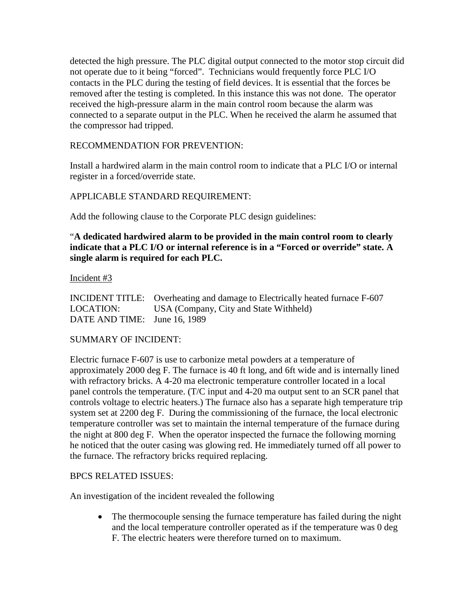detected the high pressure. The PLC digital output connected to the motor stop circuit did not operate due to it being "forced". Technicians would frequently force PLC I/O contacts in the PLC during the testing of field devices. It is essential that the forces be removed after the testing is completed. In this instance this was not done. The operator received the high-pressure alarm in the main control room because the alarm was connected to a separate output in the PLC. When he received the alarm he assumed that the compressor had tripped.

## RECOMMENDATION FOR PREVENTION:

Install a hardwired alarm in the main control room to indicate that a PLC I/O or internal register in a forced/override state.

## APPLICABLE STANDARD REQUIREMENT:

Add the following clause to the Corporate PLC design guidelines:

## "**A dedicated hardwired alarm to be provided in the main control room to clearly indicate that a PLC I/O or internal reference is in a "Forced or override" state. A single alarm is required for each PLC.**

#### Incident #3

INCIDENT TITLE: Overheating and damage to Electrically heated furnace F-607 LOCATION: USA (Company, City and State Withheld) DATE AND TIME: June 16, 1989

#### SUMMARY OF INCIDENT:

Electric furnace F-607 is use to carbonize metal powders at a temperature of approximately 2000 deg F. The furnace is 40 ft long, and 6ft wide and is internally lined with refractory bricks. A 4-20 ma electronic temperature controller located in a local panel controls the temperature. (T/C input and 4-20 ma output sent to an SCR panel that controls voltage to electric heaters.) The furnace also has a separate high temperature trip system set at 2200 deg F. During the commissioning of the furnace, the local electronic temperature controller was set to maintain the internal temperature of the furnace during the night at 800 deg F. When the operator inspected the furnace the following morning he noticed that the outer casing was glowing red. He immediately turned off all power to the furnace. The refractory bricks required replacing.

#### BPCS RELATED ISSUES:

An investigation of the incident revealed the following

• The thermocouple sensing the furnace temperature has failed during the night and the local temperature controller operated as if the temperature was 0 deg F. The electric heaters were therefore turned on to maximum.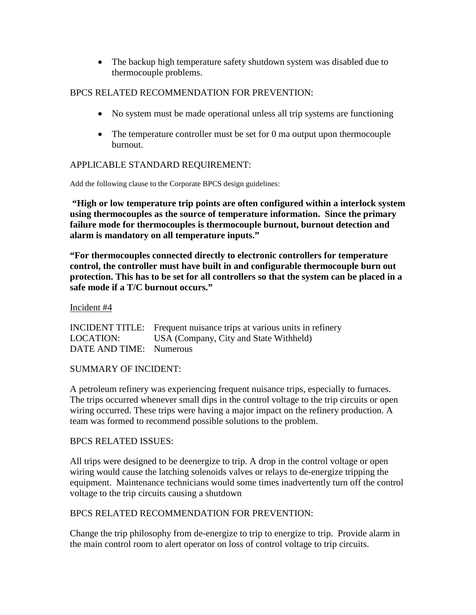• The backup high temperature safety shutdown system was disabled due to thermocouple problems.

## BPCS RELATED RECOMMENDATION FOR PREVENTION:

- No system must be made operational unless all trip systems are functioning
- The temperature controller must be set for 0 ma output upon thermocouple burnout.

## APPLICABLE STANDARD REQUIREMENT:

Add the following clause to the Corporate BPCS design guidelines:

**"High or low temperature trip points are often configured within a interlock system using thermocouples as the source of temperature information. Since the primary failure mode for thermocouples is thermocouple burnout, burnout detection and alarm is mandatory on all temperature inputs."**

**"For thermocouples connected directly to electronic controllers for temperature control, the controller must have built in and configurable thermocouple burn out protection. This has to be set for all controllers so that the system can be placed in a safe mode if a T/C burnout occurs."**

#### Incident #4

|                         | INCIDENT TITLE: Frequent nuisance trips at various units in refinery |
|-------------------------|----------------------------------------------------------------------|
| LOCATION:               | USA (Company, City and State Withheld)                               |
| DATE AND TIME: Numerous |                                                                      |

#### SUMMARY OF INCIDENT:

A petroleum refinery was experiencing frequent nuisance trips, especially to furnaces. The trips occurred whenever small dips in the control voltage to the trip circuits or open wiring occurred. These trips were having a major impact on the refinery production. A team was formed to recommend possible solutions to the problem.

#### BPCS RELATED ISSUES:

All trips were designed to be deenergize to trip. A drop in the control voltage or open wiring would cause the latching solenoids valves or relays to de-energize tripping the equipment. Maintenance technicians would some times inadvertently turn off the control voltage to the trip circuits causing a shutdown

#### BPCS RELATED RECOMMENDATION FOR PREVENTION:

Change the trip philosophy from de-energize to trip to energize to trip. Provide alarm in the main control room to alert operator on loss of control voltage to trip circuits.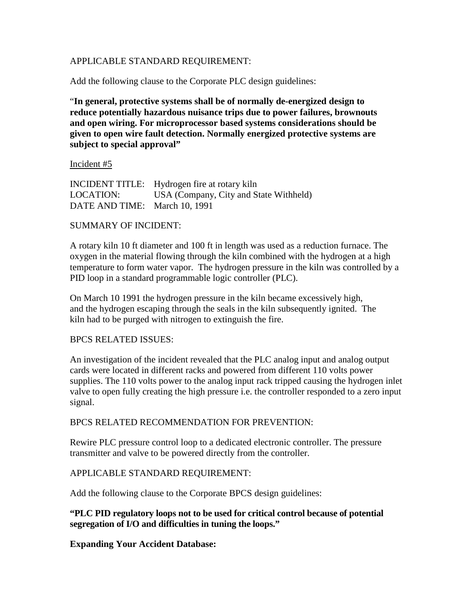#### APPLICABLE STANDARD REQUIREMENT:

Add the following clause to the Corporate PLC design guidelines:

"**In general, protective systems shall be of normally de-energized design to reduce potentially hazardous nuisance trips due to power failures, brownouts and open wiring. For microprocessor based systems considerations should be given to open wire fault detection. Normally energized protective systems are subject to special approval"**

Incident #5

INCIDENT TITLE: Hydrogen fire at rotary kiln LOCATION: USA (Company, City and State Withheld) DATE AND TIME: March 10, 1991

#### SUMMARY OF INCIDENT:

A rotary kiln 10 ft diameter and 100 ft in length was used as a reduction furnace. The oxygen in the material flowing through the kiln combined with the hydrogen at a high temperature to form water vapor. The hydrogen pressure in the kiln was controlled by a PID loop in a standard programmable logic controller (PLC).

On March 10 1991 the hydrogen pressure in the kiln became excessively high, and the hydrogen escaping through the seals in the kiln subsequently ignited. The kiln had to be purged with nitrogen to extinguish the fire.

#### BPCS RELATED ISSUES:

An investigation of the incident revealed that the PLC analog input and analog output cards were located in different racks and powered from different 110 volts power supplies. The 110 volts power to the analog input rack tripped causing the hydrogen inlet valve to open fully creating the high pressure i.e. the controller responded to a zero input signal.

BPCS RELATED RECOMMENDATION FOR PREVENTION:

Rewire PLC pressure control loop to a dedicated electronic controller. The pressure transmitter and valve to be powered directly from the controller.

#### APPLICABLE STANDARD REQUIREMENT:

Add the following clause to the Corporate BPCS design guidelines:

#### **"PLC PID regulatory loops not to be used for critical control because of potential segregation of I/O and difficulties in tuning the loops."**

**Expanding Your Accident Database:**